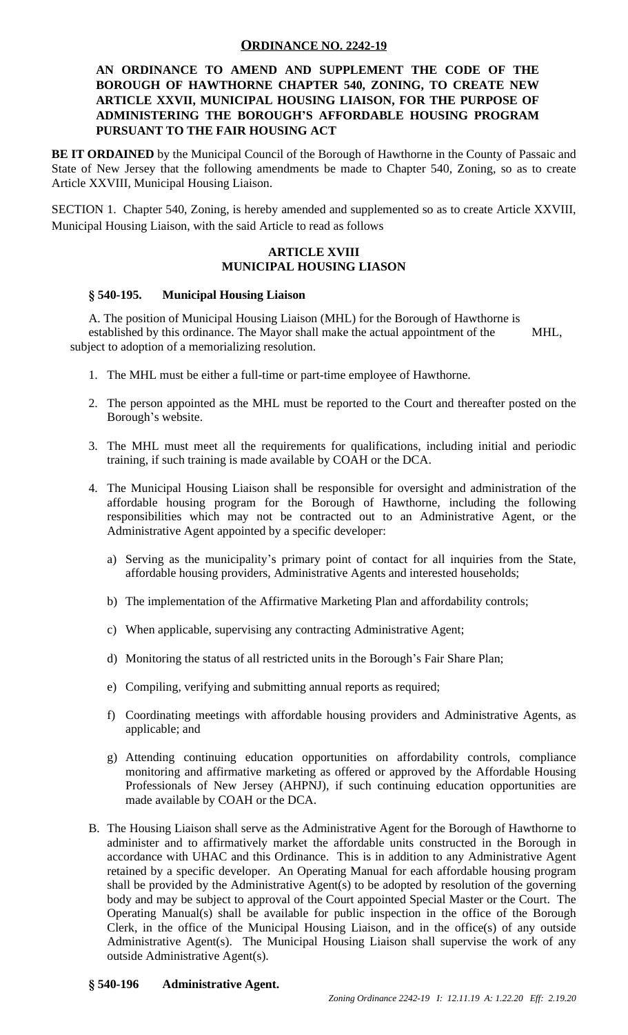## **ORDINANCE NO. 2242-19**

# **AN ORDINANCE TO AMEND AND SUPPLEMENT THE CODE OF THE BOROUGH OF HAWTHORNE CHAPTER 540, ZONING, TO CREATE NEW ARTICLE XXVII, MUNICIPAL HOUSING LIAISON, FOR THE PURPOSE OF ADMINISTERING THE BOROUGH'S AFFORDABLE HOUSING PROGRAM PURSUANT TO THE FAIR HOUSING ACT**

**BE IT ORDAINED** by the Municipal Council of the Borough of Hawthorne in the County of Passaic and State of New Jersey that the following amendments be made to Chapter 540, Zoning, so as to create Article XXVIII, Municipal Housing Liaison.

SECTION 1. Chapter 540, Zoning, is hereby amended and supplemented so as to create Article XXVIII, Municipal Housing Liaison, with the said Article to read as follows

### **ARTICLE XVIII MUNICIPAL HOUSING LIASON**

#### **§ 540-195. Municipal Housing Liaison**

A. The position of Municipal Housing Liaison (MHL) for the Borough of Hawthorne is established by this ordinance. The Mayor shall make the actual appointment of the MHL, subject to adoption of a memorializing resolution.

- 1. The MHL must be either a full-time or part-time employee of Hawthorne.
- 2. The person appointed as the MHL must be reported to the Court and thereafter posted on the Borough's website.
- 3. The MHL must meet all the requirements for qualifications, including initial and periodic training, if such training is made available by COAH or the DCA.
- 4. The Municipal Housing Liaison shall be responsible for oversight and administration of the affordable housing program for the Borough of Hawthorne, including the following responsibilities which may not be contracted out to an Administrative Agent, or the Administrative Agent appointed by a specific developer:
	- a) Serving as the municipality's primary point of contact for all inquiries from the State, affordable housing providers, Administrative Agents and interested households;
	- b) The implementation of the Affirmative Marketing Plan and affordability controls;
	- c) When applicable, supervising any contracting Administrative Agent;
	- d) Monitoring the status of all restricted units in the Borough's Fair Share Plan;
	- e) Compiling, verifying and submitting annual reports as required;
	- f) Coordinating meetings with affordable housing providers and Administrative Agents, as applicable; and
	- g) Attending continuing education opportunities on affordability controls, compliance monitoring and affirmative marketing as offered or approved by the Affordable Housing Professionals of New Jersey (AHPNJ), if such continuing education opportunities are made available by COAH or the DCA.
- B. The Housing Liaison shall serve as the Administrative Agent for the Borough of Hawthorne to administer and to affirmatively market the affordable units constructed in the Borough in accordance with UHAC and this Ordinance. This is in addition to any Administrative Agent retained by a specific developer. An Operating Manual for each affordable housing program shall be provided by the Administrative Agent(s) to be adopted by resolution of the governing body and may be subject to approval of the Court appointed Special Master or the Court. The Operating Manual(s) shall be available for public inspection in the office of the Borough Clerk, in the office of the Municipal Housing Liaison, and in the office(s) of any outside Administrative Agent(s). The Municipal Housing Liaison shall supervise the work of any outside Administrative Agent(s).

### **§ 540-196 Administrative Agent.**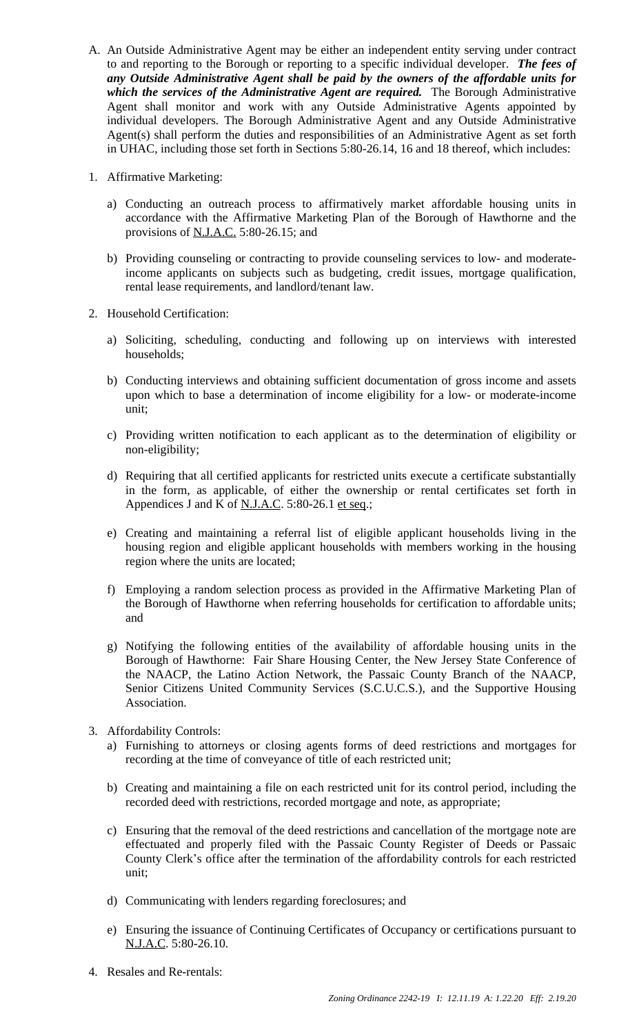- A. An Outside Administrative Agent may be either an independent entity serving under contract to and reporting to the Borough or reporting to a specific individual developer. *The fees of any Outside Administrative Agent shall be paid by the owners of the affordable units for which the services of the Administrative Agent are required.* The Borough Administrative Agent shall monitor and work with any Outside Administrative Agents appointed by individual developers. The Borough Administrative Agent and any Outside Administrative Agent(s) shall perform the duties and responsibilities of an Administrative Agent as set forth in UHAC, including those set forth in Sections 5:80-26.14, 16 and 18 thereof, which includes:
- 1. Affirmative Marketing:
	- a) Conducting an outreach process to affirmatively market affordable housing units in accordance with the Affirmative Marketing Plan of the Borough of Hawthorne and the provisions of N.J.A.C. 5:80-26.15; and
	- b) Providing counseling or contracting to provide counseling services to low- and moderateincome applicants on subjects such as budgeting, credit issues, mortgage qualification, rental lease requirements, and landlord/tenant law.
- 2. Household Certification:
	- a) Soliciting, scheduling, conducting and following up on interviews with interested households;
	- b) Conducting interviews and obtaining sufficient documentation of gross income and assets upon which to base a determination of income eligibility for a low- or moderate-income unit;
	- c) Providing written notification to each applicant as to the determination of eligibility or non-eligibility;
	- d) Requiring that all certified applicants for restricted units execute a certificate substantially in the form, as applicable, of either the ownership or rental certificates set forth in Appendices J and K of N.J.A.C. 5:80-26.1 et seq.;
	- e) Creating and maintaining a referral list of eligible applicant households living in the housing region and eligible applicant households with members working in the housing region where the units are located;
	- f) Employing a random selection process as provided in the Affirmative Marketing Plan of the Borough of Hawthorne when referring households for certification to affordable units; and
	- g) Notifying the following entities of the availability of affordable housing units in the Borough of Hawthorne: Fair Share Housing Center, the New Jersey State Conference of the NAACP, the Latino Action Network, the Passaic County Branch of the NAACP, Senior Citizens United Community Services (S.C.U.C.S.), and the Supportive Housing Association.
- 3. Affordability Controls:
	- a) Furnishing to attorneys or closing agents forms of deed restrictions and mortgages for recording at the time of conveyance of title of each restricted unit;
	- b) Creating and maintaining a file on each restricted unit for its control period, including the recorded deed with restrictions, recorded mortgage and note, as appropriate;
	- c) Ensuring that the removal of the deed restrictions and cancellation of the mortgage note are effectuated and properly filed with the Passaic County Register of Deeds or Passaic County Clerk's office after the termination of the affordability controls for each restricted unit;
	- d) Communicating with lenders regarding foreclosures; and
	- e) Ensuring the issuance of Continuing Certificates of Occupancy or certifications pursuant to N.J.A.C. 5:80-26.10.
- 4. Resales and Re-rentals: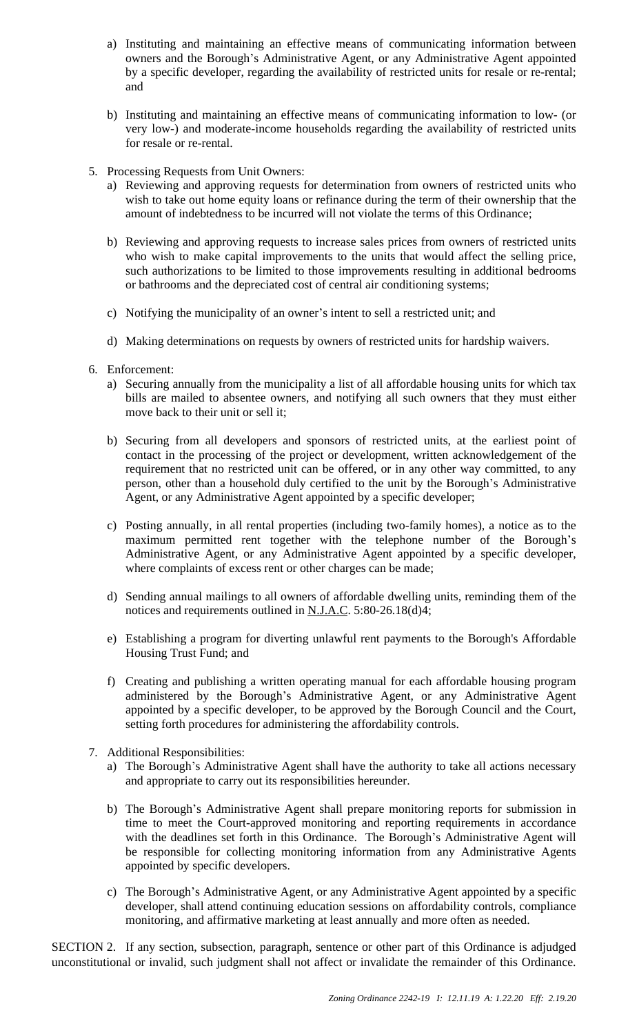- a) Instituting and maintaining an effective means of communicating information between owners and the Borough's Administrative Agent, or any Administrative Agent appointed by a specific developer, regarding the availability of restricted units for resale or re-rental; and
- b) Instituting and maintaining an effective means of communicating information to low- (or very low-) and moderate-income households regarding the availability of restricted units for resale or re-rental.
- 5. Processing Requests from Unit Owners:
	- a) Reviewing and approving requests for determination from owners of restricted units who wish to take out home equity loans or refinance during the term of their ownership that the amount of indebtedness to be incurred will not violate the terms of this Ordinance;
	- b) Reviewing and approving requests to increase sales prices from owners of restricted units who wish to make capital improvements to the units that would affect the selling price, such authorizations to be limited to those improvements resulting in additional bedrooms or bathrooms and the depreciated cost of central air conditioning systems;
	- c) Notifying the municipality of an owner's intent to sell a restricted unit; and
	- d) Making determinations on requests by owners of restricted units for hardship waivers.
- 6. Enforcement:
	- a) Securing annually from the municipality a list of all affordable housing units for which tax bills are mailed to absentee owners, and notifying all such owners that they must either move back to their unit or sell it;
	- b) Securing from all developers and sponsors of restricted units, at the earliest point of contact in the processing of the project or development, written acknowledgement of the requirement that no restricted unit can be offered, or in any other way committed, to any person, other than a household duly certified to the unit by the Borough's Administrative Agent, or any Administrative Agent appointed by a specific developer;
	- c) Posting annually, in all rental properties (including two-family homes), a notice as to the maximum permitted rent together with the telephone number of the Borough's Administrative Agent, or any Administrative Agent appointed by a specific developer, where complaints of excess rent or other charges can be made;
	- d) Sending annual mailings to all owners of affordable dwelling units, reminding them of the notices and requirements outlined in N.J.A.C. 5:80-26.18(d)4;
	- e) Establishing a program for diverting unlawful rent payments to the Borough's Affordable Housing Trust Fund; and
	- f) Creating and publishing a written operating manual for each affordable housing program administered by the Borough's Administrative Agent, or any Administrative Agent appointed by a specific developer, to be approved by the Borough Council and the Court, setting forth procedures for administering the affordability controls.
- 7. Additional Responsibilities:
	- a) The Borough's Administrative Agent shall have the authority to take all actions necessary and appropriate to carry out its responsibilities hereunder.
	- b) The Borough's Administrative Agent shall prepare monitoring reports for submission in time to meet the Court-approved monitoring and reporting requirements in accordance with the deadlines set forth in this Ordinance. The Borough's Administrative Agent will be responsible for collecting monitoring information from any Administrative Agents appointed by specific developers.
	- c) The Borough's Administrative Agent, or any Administrative Agent appointed by a specific developer, shall attend continuing education sessions on affordability controls, compliance monitoring, and affirmative marketing at least annually and more often as needed.

SECTION 2. If any section, subsection, paragraph, sentence or other part of this Ordinance is adjudged unconstitutional or invalid, such judgment shall not affect or invalidate the remainder of this Ordinance.